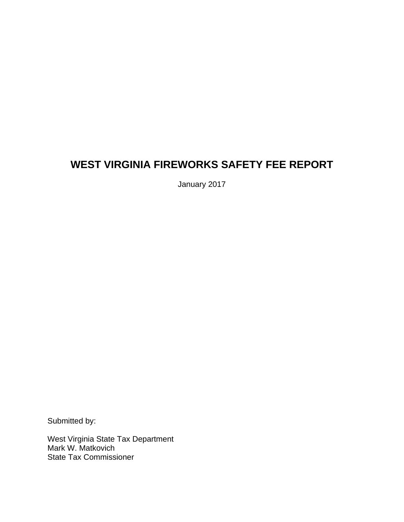# **WEST VIRGINIA FIREWORKS SAFETY FEE REPORT**

January 2017

Submitted by:

West Virginia State Tax Department Mark W. Matkovich State Tax Commissioner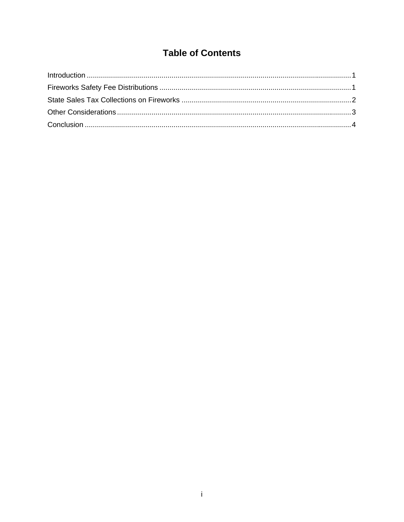## **Table of Contents**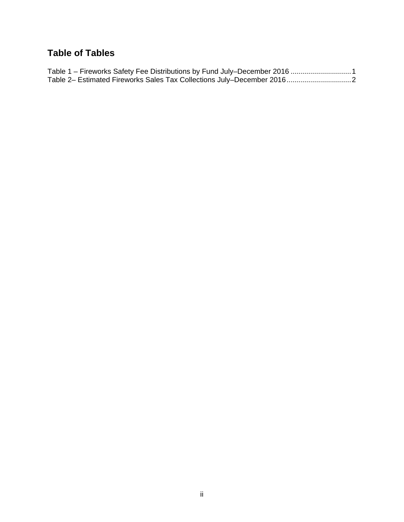## **Table of Tables**

| Table 1 - Fireworks Safety Fee Distributions by Fund July-December 2016 1 |  |
|---------------------------------------------------------------------------|--|
|                                                                           |  |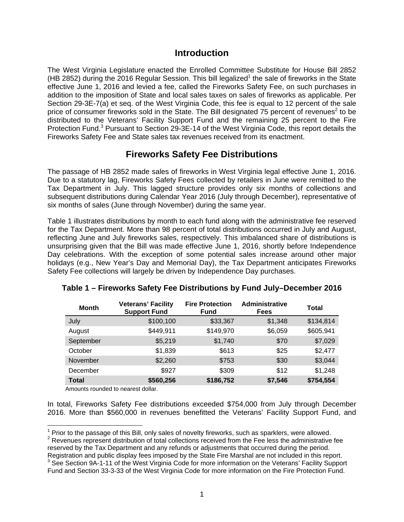#### **Introduction**

The West Virginia Legislature enacted the Enrolled Committee Substitute for House Bill 2852 (HB 2852) during the 2016 Regular Session. This bill legalized<sup>1</sup> the sale of fireworks in the State effective June 1, 2016 and levied a fee, called the Fireworks Safety Fee, on such purchases in addition to the imposition of State and local sales taxes on sales of fireworks as applicable. Per Section 29-3E-7(a) et seq. of the West Virginia Code, this fee is equal to 12 percent of the sale price of consumer fireworks sold in the State. The Bill designated 75 percent of revenues<sup>2</sup> to be distributed to the Veterans' Facility Support Fund and the remaining 25 percent to the Fire Protection Fund.<sup>3</sup> Pursuant to Section 29-3E-14 of the West Virginia Code, this report details the Fireworks Safety Fee and State sales tax revenues received from its enactment.

### **Fireworks Safety Fee Distributions**

The passage of HB 2852 made sales of fireworks in West Virginia legal effective June 1, 2016. Due to a statutory lag, Fireworks Safety Fees collected by retailers in June were remitted to the Tax Department in July. This lagged structure provides only six months of collections and subsequent distributions during Calendar Year 2016 (July through December), representative of six months of sales (June through November) during the same year.

Table 1 illustrates distributions by month to each fund along with the administrative fee reserved for the Tax Department. More than 98 percent of total distributions occurred in July and August, reflecting June and July fireworks sales, respectively. This imbalanced share of distributions is unsurprising given that the Bill was made effective June 1, 2016, shortly before Independence Day celebrations. With the exception of some potential sales increase around other major holidays (e.g., New Year's Day and Memorial Day), the Tax Department anticipates Fireworks Safety Fee collections will largely be driven by Independence Day purchases.

| <b>Month</b> | <b>Veterans' Facility</b><br><b>Support Fund</b> | <b>Fire Protection</b><br><b>Fund</b> | <b>Administrative</b><br>Fees | Total     |
|--------------|--------------------------------------------------|---------------------------------------|-------------------------------|-----------|
| July         | \$100,100                                        | \$33,367                              | \$1,348                       | \$134,814 |
| August       | \$449,911                                        | \$149,970                             | \$6,059                       | \$605,941 |
| September    | \$5,219                                          | \$1,740                               | \$70                          | \$7,029   |
| October      | \$1,839                                          | \$613                                 | \$25                          | \$2,477   |
| November     | \$2,260                                          | \$753                                 | \$30                          | \$3,044   |
| December     | \$927                                            | \$309                                 | \$12                          | \$1,248   |
| <b>Total</b> | \$560,256                                        | \$186,752                             | \$7,546                       | \$754,554 |

#### **Table 1 – Fireworks Safety Fee Distributions by Fund July–December 2016**

Amounts rounded to nearest dollar.

In total, Fireworks Safety Fee distributions exceeded \$754,000 from July through December 2016. More than \$560,000 in revenues benefitted the Veterans' Facility Support Fund, and

 $\overline{a}$  $1$  Prior to the passage of this Bill, only sales of novelty fireworks, such as sparklers, were allowed.

<sup>&</sup>lt;sup>2</sup> Revenues represent distribution of total collections received from the Fee less the administrative fee reserved by the Tax Department and any refunds or adjustments that occurred during the period.

Registration and public display fees imposed by the State Fire Marshal are not included in this report. 3 <sup>3</sup> See Section 9A-1-11 of the West Virginia Code for more information on the Veterans' Facility Support

Fund and Section 33-3-33 of the West Virginia Code for more information on the Fire Protection Fund.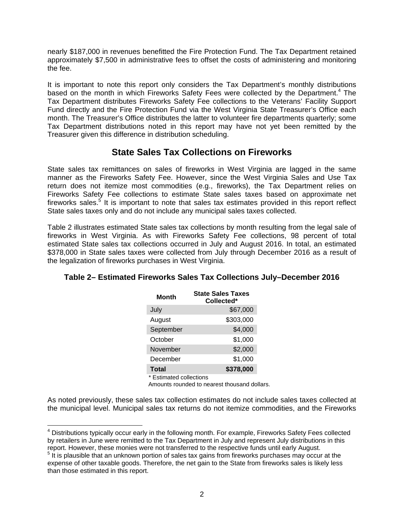nearly \$187,000 in revenues benefitted the Fire Protection Fund. The Tax Department retained approximately \$7,500 in administrative fees to offset the costs of administering and monitoring the fee.

It is important to note this report only considers the Tax Department's monthly distributions based on the month in which Fireworks Safety Fees were collected by the Department.<sup>4</sup> The Tax Department distributes Fireworks Safety Fee collections to the Veterans' Facility Support Fund directly and the Fire Protection Fund via the West Virginia State Treasurer's Office each month. The Treasurer's Office distributes the latter to volunteer fire departments quarterly; some Tax Department distributions noted in this report may have not yet been remitted by the Treasurer given this difference in distribution scheduling.

## **State Sales Tax Collections on Fireworks**

State sales tax remittances on sales of fireworks in West Virginia are lagged in the same manner as the Fireworks Safety Fee. However, since the West Virginia Sales and Use Tax return does not itemize most commodities (e.g., fireworks), the Tax Department relies on Fireworks Safety Fee collections to estimate State sales taxes based on approximate net fireworks sales.<sup>5</sup> It is important to note that sales tax estimates provided in this report reflect State sales taxes only and do not include any municipal sales taxes collected.

Table 2 illustrates estimated State sales tax collections by month resulting from the legal sale of fireworks in West Virginia. As with Fireworks Safety Fee collections, 98 percent of total estimated State sales tax collections occurred in July and August 2016. In total, an estimated \$378,000 in State sales taxes were collected from July through December 2016 as a result of the legalization of fireworks purchases in West Virginia.

| Month                   | <b>State Sales Taxes</b><br>Collected* |
|-------------------------|----------------------------------------|
| July                    | \$67,000                               |
| August                  | \$303,000                              |
| September               | \$4,000                                |
| October                 | \$1,000                                |
| November                | \$2,000                                |
| December                | \$1,000                                |
| <b>Total</b>            | \$378,000                              |
| * Estimated collections |                                        |

#### **Table 2– Estimated Fireworks Sales Tax Collections July–December 2016**

Amounts rounded to nearest thousand dollars.

As noted previously, these sales tax collection estimates do not include sales taxes collected at the municipal level. Municipal sales tax returns do not itemize commodities, and the Fireworks

 $\overline{a}$ <sup>4</sup> Distributions typically occur early in the following month. For example, Fireworks Safety Fees collected by retailers in June were remitted to the Tax Department in July and represent July distributions in this report. However, these monies were not transferred to the respective funds until early August.

 $5$  It is plausible that an unknown portion of sales tax gains from fireworks purchases may occur at the expense of other taxable goods. Therefore, the net gain to the State from fireworks sales is likely less than those estimated in this report.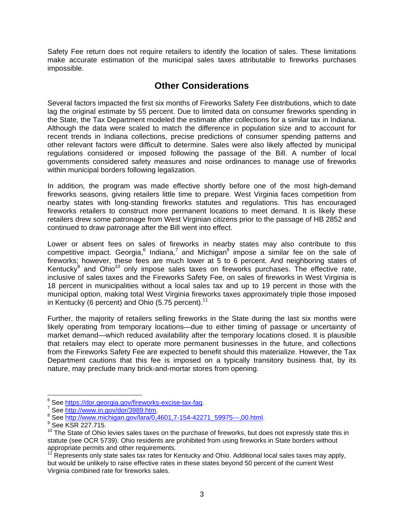Safety Fee return does not require retailers to identify the location of sales. These limitations make accurate estimation of the municipal sales taxes attributable to fireworks purchases impossible.

### **Other Considerations**

Several factors impacted the first six months of Fireworks Safety Fee distributions, which to date lag the original estimate by 55 percent. Due to limited data on consumer fireworks spending in the State, the Tax Department modeled the estimate after collections for a similar tax in Indiana. Although the data were scaled to match the difference in population size and to account for recent trends in Indiana collections, precise predictions of consumer spending patterns and other relevant factors were difficult to determine. Sales were also likely affected by municipal regulations considered or imposed following the passage of the Bill. A number of local governments considered safety measures and noise ordinances to manage use of fireworks within municipal borders following legalization.

In addition, the program was made effective shortly before one of the most high-demand fireworks seasons, giving retailers little time to prepare. West Virginia faces competition from nearby states with long-standing fireworks statutes and regulations. This has encouraged fireworks retailers to construct more permanent locations to meet demand. It is likely these retailers drew some patronage from West Virginian citizens prior to the passage of HB 2852 and continued to draw patronage after the Bill went into effect.

Lower or absent fees on sales of fireworks in nearby states may also contribute to this competitive impact. Georgia,  $6$  Indiana,  $7$  and Michigan $8$  impose a similar fee on the sale of fireworks; however, these fees are much lower at 5 to 6 percent. And neighboring states of Kentucky<sup>9</sup> and Ohio<sup>10</sup> only impose sales taxes on fireworks purchases. The effective rate, inclusive of sales taxes and the Fireworks Safety Fee, on sales of fireworks in West Virginia is 18 percent in municipalities without a local sales tax and up to 19 percent in those with the municipal option, making total West Virginia fireworks taxes approximately triple those imposed in Kentucky (6 percent) and Ohio (5.75 percent).<sup>11</sup>

Further, the majority of retailers selling fireworks in the State during the last six months were likely operating from temporary locations—due to either timing of passage or uncertainty of market demand—which reduced availability after the temporary locations closed. It is plausible that retailers may elect to operate more permanent businesses in the future, and collections from the Fireworks Safety Fee are expected to benefit should this materialize. However, the Tax Department cautions that this fee is imposed on a typically transitory business that, by its nature, may preclude many brick-and-mortar stores from opening.

 $\overline{a}$ 

<sup>&</sup>lt;sup>6</sup> See <u>https://dor.georgia.gov/fireworks-excise-tax-faq.</u><br>7 See http://www.jp.gov/dex/2000.htm

<sup>&</sup>lt;sup>7</sup> See http://www.in.gov/dor/3989.htm.

<sup>8</sup> See http://www.michigan.gov/lara/0,4601,7-154-42271\_59975---,00.html.

<sup>&</sup>lt;sup>9</sup> See KSR 227.715.

 $10$  The State of Ohio levies sales taxes on the purchase of fireworks, but does not expressly state this in statute (see OCR 5739). Ohio residents are prohibited from using fireworks in State borders without appropriate permits and other requirements.

<sup>&</sup>lt;sup>11</sup> Represents only state sales tax rates for Kentucky and Ohio. Additional local sales taxes may apply, but would be unlikely to raise effective rates in these states beyond 50 percent of the current West Virginia combined rate for fireworks sales.